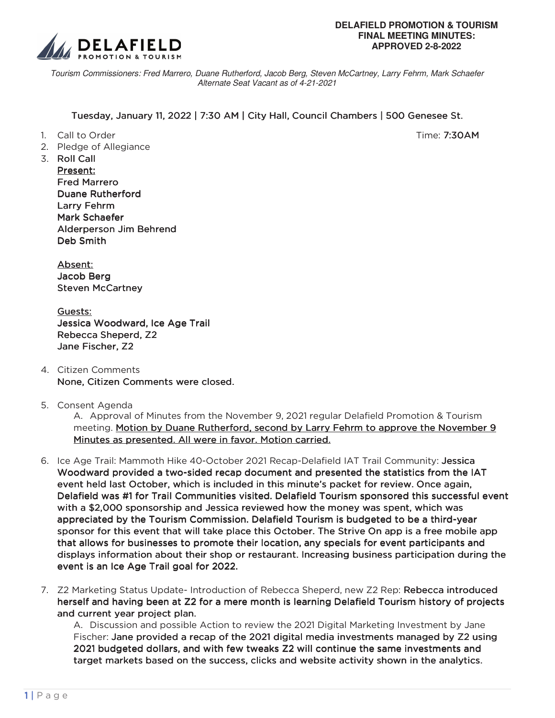

Tourism Commissioners: Fred Marrero, Duane Rutherford, Jacob Berg, Steven McCartney, Larry Fehrm, Mark Schaefer Alternate Seat Vacant as of 4-21-2021

## Tuesday, January 11, 2022 | 7:30 AM | City Hall, Council Chambers | 500 Genesee St.

- 1. Call to Order Time: 7:30AM
- 2. Pledge of Allegiance

3. Roll Call Present: **Fred Marrero** Duane Rutherford Larry Fehrm Mark Schaefer Alderperson Jim Behrend Deb Smith

> Absent: Jacob Berg **Steven McCartney**

Guests: Guests: Jessica Woodward, Ice Age Trail Rebecca Sheperd, Z2 Jane Fischer, Z2

- 4. Citizen Comments None, Citizen Comments were closed.
- 5. Consent Agenda
	- A. Approval of Minutes from the November 9, 2021 regular Delafield Promotion & Tourism meeting. Motion by Duane Rutherford, second by Larry Fehrm to approve the November 9 Minutes as presented. All were in favor. Motion carried.
- 6. Ice Age Trail: Mammoth Hike 40-October 2021 Recap-Delafield IAT Trail Community: Jessica Woodward provided a two-sided recap document and presented the statistics from the IAT event held last October, which is included in this minute's packet for review. Once again, Delafield was #1 for Trail Communities visited. Delafield Tourism sponsored this successful event with a \$2,000 sponsorship and Jessica reviewed how the money was spent, which was appreciated by the Tourism Commission. Delafield Tourism is budgeted to be a third-year sponsor for this event that will take place this October. The Strive On app is a free mobile app that allows for businesses to promote their location, any specials for event participants and displays information about their shop or restaurant. Increasing business participation during the event is an Ice Age Trail goal for 2022.
- 7. Z2 Marketing Status Update- Introduction of Rebecca Sheperd, new Z2 Rep: Rebecca introduced herself and having been at Z2 for a mere month is learning Delafield Tourism history of projects and current year project plan.

A. Discussion and possible Action to review the 2021 Digital Marketing Investment by Jane Fischer: Jane provided a recap of the 2021 digital media investments managed by Z2 using 2021 budgeted dollars, and with few tweaks Z2 will continue the same investments and target markets based on the success, clicks and website activity shown in the analytics.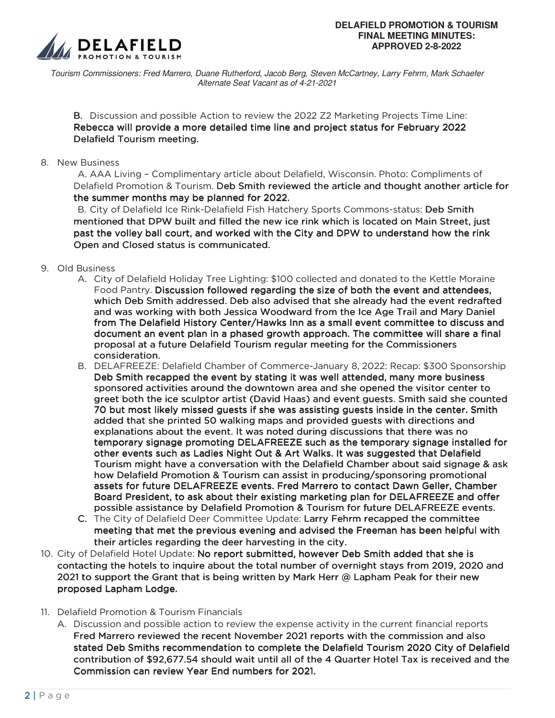

Tourism Commissioners: Fred Marrero, Duane Rutherford, Jacob Berg, Steven McCartney, Larry Fehrm, Mark Schaefer Alternate Seat Vacant as of 4-21-2021

B. Discussion and possible Action to review the 2022 Z2 Marketing Projects Time Line: Rebecca will provide a more detailed time line and project status for February 2022 Delafield Tourism meeting.

## 8. New Business

A. AAA Living – Complimentary article about Delafield, Wisconsin. Photo: Compliments of Delafield Promotion & Tourism. Deb Smith reviewed the article and thought another article for the summer months may be planned for 2022.

B. City of Delafield Ice Rink-Delafield Fish Hatchery Sports Commons-status: Deb Smith mentioned that DPW built and filled the new ice rink which is located on Main Street, just past the volley ball court, and worked with the City and DPW to understand how the rink Open and Closed status is communicated.

- 9. Old Business
	- A. City of Delafield Holiday Tree Lighting: \$100 collected and donated to the Kettle Moraine Food Pantry. Discussion followed regarding the size of both the event and attendees, which Deb Smith addressed. Deb also advised that she already had the event redrafted and was working with both Jessica Woodward from the Ice Age Trail and Mary Daniel from The Delafield History Center/Hawks Inn as a small event committee to discuss and document an event plan in a phased growth approach. The committee will share a final proposal at a future Delafield Tourism regular meeting for the Commissioners consideration.
	- B. DELAFREEZE: Delafield Chamber of Commerce-January 8, 2022: Recap: \$300 Sponsorship Deb Smith recapped the event by stating it was well attended, many more business sponsored activities around the downtown area and she opened the visitor center to greet both the ice sculptor artist (David Haas) and event guests. Smith said she counted 70 but most likely missed guests if she was assisting guests inside in the center. Smith added that she printed 50 walking maps and provided guests with directions and explanations about the event. It was noted during discussions that there was no temporary signage promoting DELAFREEZE such as the temporary signage installed for other events such as Ladies Night Out & Art Walks. It was suggested that Delafield Tourism might have a conversation with the Delafield Chamber about said signage & ask how Delafield Promotion & Tourism can assist in producing/sponsoring promotional assets for future DELAFREEZE events. Fred Marrero to contact Dawn Geller, Chamber Board President, to ask about their existing marketing plan for DELAFREEZE and offer possible assistance by Delafield Promotion & Tourism for future DELAFREEZE events.
	- C. The City of Delafield Deer Committee Update: Larry Fehrm recapped the committee meeting that met the previous evening and advised the Freeman has been helpful with their articles regarding the deer harvesting in the city.
- 10. City of Delafield Hotel Update: No report submitted, however Deb Smith added that she is contacting the hotels to inquire about the total number of overnight stays from 2019, 2020 and 2021 to support the Grant that is being written by Mark Herr @ Lapham Peak for their new proposed Lapham Lodge.
- 11. Delafield Promotion & Tourism Financials
	- A. Discussion and possible action to review the expense activity in the current financial reports Fred Marrero reviewed the recent November 2021 reports with the commission and also stated Deb Smiths recommendation to complete the Delafield Tourism 2020 City of Delafield contribution of \$92,677.54 should wait until all of the 4 Quarter Hotel Tax is received and the Commission can review Year End numbers for 2021.